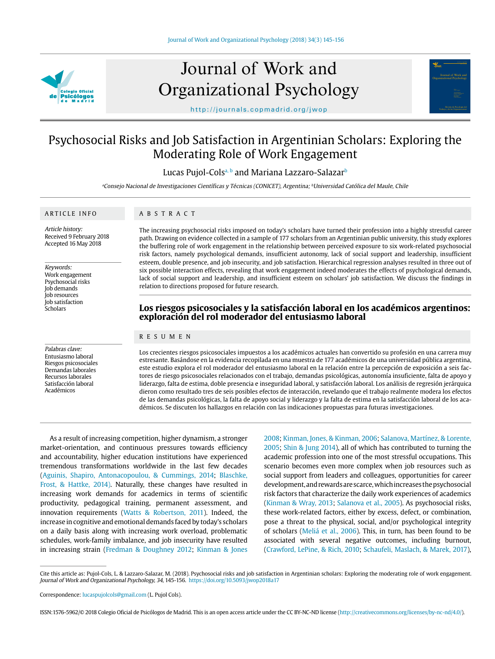

# Journal of Work and Organizational Psychology

http://journals.copmadrid.org/jwop

# Psychosocial Risks and Job Satisfaction in Argentinian Scholars: Exploring the Moderating Role of Work Engagement

Lucas Pujol-Cols<sup>a, b</sup> and Mariana Lazzaro-Salazar<sup>b</sup>

<sup>a</sup>Consejo Nacional de Investigaciones Científicas y Técnicas (CONICET), Argentina; <sup>b</sup>Universidad Católica del Maule, Chile

# ARTICLE INFO

ABSTRACT

Article history: Received 9 February 2018 Accepted 16 May 2018

Keywords:

Work engagement Psychosocial risks Job demands Job resources Job satisfaction Scholars

Palabras clave: Entusiasmo laboral Riesgos psicosociales Demandas laborales Recursos laborales Satisfacción laboral Académicos

The increasing psychosocial risks imposed on today's scholars have turned their profession into a highly stressful career path. Drawing on evidence collected in a sample of 177 scholars from an Argentinian public university, this study explores the buffering role of work engagement in the relationship between perceived exposure to six work-related psychosocial risk factors, namely psychological demands, insufficient autonomy, lack of social support and leadership, insufficient esteem, double presence, and job insecurity, and job satisfaction. Hierarchical regression analyses resulted in three out of six possible interaction effects, revealing that work engagement indeed moderates the effects of psychological demands, lack of social support and leadership, and insufficient esteem on scholars' job satisfaction. We discuss the findings in relation to directions proposed for future research.

# **Los riesgos psicosociales y la satisfacción laboral en los académicos argentinos: exploración del rol moderador del entusiasmo laboral**

#### RESUMEN

Los crecientes riesgos psicosociales impuestos a los académicos actuales han convertido su profesión en una carrera muy estresante. Basándose en la evidencia recopilada en una muestra de 177 académicos de una universidad pública argentina, este estudio explora el rol moderador del entusiasmo laboral en la relación entre la percepción de exposición a seis factores de riesgo psicosociales relacionados con el trabajo, demandas psicológicas, autonomía insuficiente, falta de apoyo y liderazgo, falta de estima, doble presencia e inseguridad laboral, y satisfacción laboral. Los análisis de regresión jerárquica dieron como resultado tres de seis posibles efectos de interacción, revelando que el trabajo realmente modera los efectos de las demandas psicológicas, la falta de apoyo social y liderazgo y la falta de estima en la satisfacción laboral de los académicos. Se discuten los hallazgos en relación con las indicaciones propuestas para futuras investigaciones.

As a result of increasing competition, higher dynamism, a stronger market-orientation, and continuous pressures towards efficiency and accountability, higher education institutions have experienced tremendous transformations worldwide in the last few decades (Aguinis, Shapiro, Antonacopoulou, & Cummings, 2014; Blaschke, Frost, & Hattke, 2014). Naturally, these changes have resulted in increasing work demands for academics in terms of scientific productivity, pedagogical training, permanent assessment, and innovation requirements (Watts & Robertson, 2011). Indeed, the increase in cognitive and emotional demands faced by today's scholars on a daily basis along with increasing work overload, problematic schedules, work-family imbalance, and job insecurity have resulted in increasing strain (Fredman & Doughney 2012; Kinman & Jones

2008; Kinman, Jones, & Kinman, 2006; Salanova, Martínez, & Lorente, 2005; Shin & Jung 2014), all of which has contributed to turning the academic profession into one of the most stressful occupations. This scenario becomes even more complex when job resources such as social support from leaders and colleagues, opportunities for career development, and rewards are scarce, which increases the psychosocial risk factors that characterize the daily work experiences of academics (Kinman & Wray, 2013; Salanova et al., 2005). As psychosocial risks, these work-related factors, either by excess, defect, or combination, pose a threat to the physical, social, and/or psychological integrity of scholars (Meliá et al., 2006). This, in turn, has been found to be associated with several negative outcomes, including burnout, (Crawford, LePine, & Rich, 2010; Schaufeli, Maslach, & Marek, 2017),

Journal of Work and

ISSN:1576-5962/© 2018 Colegio Oficial de Psicólogos de Madrid. This is an open access article under the CC BY-NC-ND license (http://creativecommons.org/licenses/by-nc-nd/4.0/).

Cite this article as: Pujol-Cols, L. & Lazzaro-Salazar, M. (2018). Psychosocial risks and job satisfaction in Argentinian scholars: Exploring the moderating role of work engagement. Journal of Work and Organizational Psychology, 34, 145-156. https://doi.org/10.5093/jwop2018a17

Correspondence: lucaspujolcols@gmail.com (L. Pujol Cols).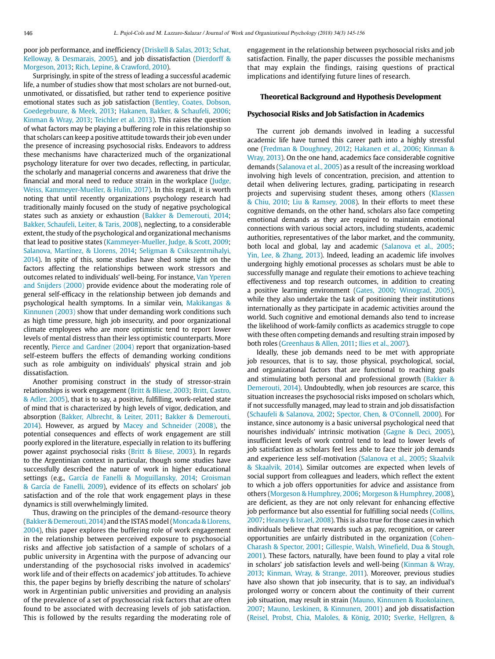poor job performance, and inefficiency (Driskell & Salas, 2013; Schat, Kelloway, & Desmarais, 2005), and job dissatisfaction (Dierdorff & Morgeson, 2013; Rich, Lepine, & Crawford, 2010).

Surprisingly, in spite of the stress of leading a successful academic life, a number of studies show that most scholars are not burned-out, unmotivated, or dissatisfied, but rather tend to experience positive emotional states such as job satisfaction (Bentley, Coates, Dobson, Goedegebuure, & Meek, 2013; Hakanen, Bakker, & Schaufeli, 2006; Kinman & Wray, 2013; Teichler et al. 2013). This raises the question of what factors may be playing a buffering role in this relationship so that scholars can keep a positive attitude towards their job even under the presence of increasing psychosocial risks. Endeavors to address these mechanisms have characterized much of the organizational psychology literature for over two decades, reflecting, in particular, the scholarly and managerial concerns and awareness that drive the financial and moral need to reduce strain in the workplace (Judge, Weiss, Kammeyer-Mueller, & Hulin, 2017). In this regard, it is worth noting that until recently organizations psychology research had traditionally mainly focused on the study of negative psychological states such as anxiety or exhaustion (Bakker & Demerouti, 2014; Bakker, Schaufeli, Leiter, & Taris, 2008), neglecting, to a considerable extent, the study of the psychological and organizational mechanisms that lead to positive states (Kammeyer-Mueller, Judge, & Scott, 2009; Salanova, Martínez, & Llorens, 2014; Seligman & Csikszentmihalyi, 2014). In spite of this, some studies have shed some light on the factors affecting the relationships between work stressors and outcomes related to individuals' well-being. For instance, Van Yperen and Snijders (2000) provide evidence about the moderating role of general self-efficacy in the relationship between job demands and psychological health symptoms. In a similar vein, Makikangas & Kinnunen (2003) show that under demanding work conditions such as high time pressure, high job insecurity, and poor organizational climate employees who are more optimistic tend to report lower levels of mental distress than their less optimistic counterparts. More recently, Pierce and Gardner (2004) report that organization-based self-esteem buffers the effects of demanding working conditions such as role ambiguity on individuals' physical strain and job dissatisfaction.

Another promising construct in the study of stressor-strain relationships is work engagement (Britt & Bliese, 2003; Britt, Castro, & Adler, 2005), that is to say, a positive, fulfilling, work-related state of mind that is characterized by high levels of vigor, dedication, and absorption (Bakker, Albrecht, & Leiter, 2011; Bakker & Demerouti, 2014). However, as argued by Macey and Schneider (2008), the potential consequences and effects of work engagement are still poorly explored in the literature, especially in relation to its buffering power against psychosocial risks (Britt & Bliese, 2003). In regards to the Argentinian context in particular, though some studies have successfully described the nature of work in higher educational settings (e.g., García de Fanelli & Moguillansky, 2014; Groisman & García de Fanelli, 2009), evidence of its effects on scholars' job satisfaction and of the role that work engagement plays in these dynamics is still overwhelmingly limited.

Thus, drawing on the principles of the demand-resource theory (Bakker & Demerouti, 2014) and the ISTAS model (Moncada & Llorens, 2004), this paper explores the buffering role of work engagement in the relationship between perceived exposure to psychosocial risks and affective job satisfaction of a sample of scholars of a public university in Argentina with the purpose of advancing our understanding of the psychosocial risks involved in academics' work life and of their effects on academics' job attitudes. To achieve this, the paper begins by briefly describing the nature of scholars' work in Argentinian public universities and providing an analysis of the prevalence of a set of psychosocial risk factors that are often found to be associated with decreasing levels of job satisfaction. This is followed by the results regarding the moderating role of engagement in the relationship between psychosocial risks and job satisfaction. Finally, the paper discusses the possible mechanisms that may explain the findings, raising questions of practical implications and identifying future lines of research.

# **Theoretical Background and Hypothesis Development**

#### **Psychosocial Risks and Job Satisfaction in Academics**

The current job demands involved in leading a successful academic life have turned this career path into a highly stressful one (Fredman & Doughney, 2012; Hakanen et al., 2006; Kinman & Wray, 2013). On the one hand, academics face considerable cognitive demands (Salanova et al., 2005) as a result of the increasing workload involving high levels of concentration, precision, and attention to detail when delivering lectures, grading, participating in research projects and supervising student theses, among others (Klassen & Chiu, 2010; Liu & Ramsey, 2008). In their efforts to meet these cognitive demands, on the other hand, scholars also face competing emotional demands as they are required to maintain emotional connections with various social actors, including students, academic authorities, representatives of the labor market, and the community, both local and global, lay and academic (Salanova et al., 2005; Yin, Lee, & Zhang, 2013). Indeed, leading an academic life involves undergoing highly emotional processes as scholars must be able to successfully manage and regulate their emotions to achieve teaching effectiveness and top research outcomes, in addition to creating a positive learning environment (Gates, 2000; Winograd, 2005), while they also undertake the task of positioning their institutions internationally as they participate in academic activities around the world. Such cognitive and emotional demands also tend to increase the likelihood of work-family conflicts as academics struggle to cope with these often competing demands and resulting strain imposed by both roles (Greenhaus & Allen, 2011; Ilies et al., 2007).

Ideally, these job demands need to be met with appropriate job resources, that is to say, those physical, psychological, social, and organizational factors that are functional to reaching goals and stimulating both personal and professional growth (Bakker & Demerouti, 2014). Undoubtedly, when job resources are scarce, this situation increases the psychosocial risks imposed on scholars which, if not successfully managed, may lead to strain and job dissatisfaction (Schaufeli & Salanova, 2002; Spector, Chen, & O'Connell, 2000). For instance, since autonomy is a basic universal psychological need that nourishes individuals' intrinsic motivation (Gagne & Deci, 2005), insufficient levels of work control tend to lead to lower levels of job satisfaction as scholars feel less able to face their job demands and experience less self-motivation (Salanova et al., 2005; Skaalvik & Skaalvik, 2014). Similar outcomes are expected when levels of social support from colleagues and leaders, which reflect the extent to which a job offers opportunities for advice and assistance from others (Morgeson & Humphrey, 2006; Morgeson & Humphrey, 2008), are deficient, as they are not only relevant for enhancing effective job performance but also essential for fulfilling social needs (Collins, 2007; Heaney & Israel, 2008). This is also true for those cases in which individuals believe that rewards such as pay, recognition, or career opportunities are unfairly distributed in the organization (Cohen-Charash & Spector, 2001; Gillespie, Walsh, Winefield, Dua & Stough, 2001). These factors, naturally, have been found to play a vital role in scholars' job satisfaction levels and well-being (Kinman & Wray, 2013; Kinman, Wray, & Strange, 2011). Moreover, previous studies have also shown that job insecurity, that is to say, an individual's prolonged worry or concern about the continuity of their current job situation, may result in strain (Mauno, Kinnunen & Ruokolainen, 2007; Mauno, Leskinen, & Kinnunen, 2001) and job dissatisfaction (Reisel, Probst, Chia, Maloles, & König, 2010; Sverke, Hellgren, &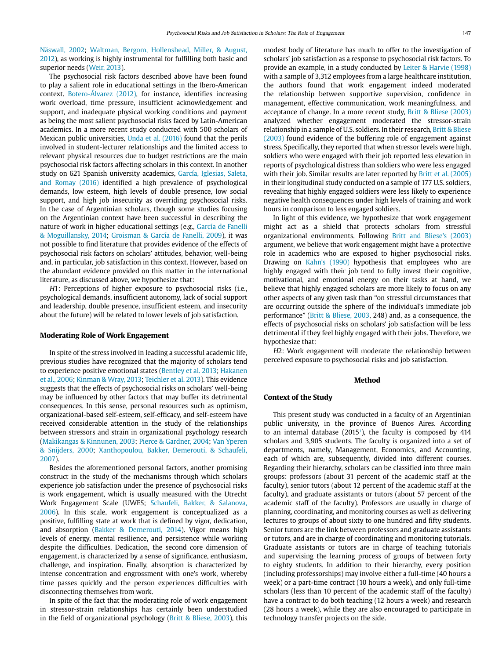Näswall, 2002; Waltman, Bergom, Hollenshead, Miller, & August, 2012), as working is highly instrumental for fulfilling both basic and superior needs (Weir, 2013).

The psychosocial risk factors described above have been found to play a salient role in educational settings in the Ibero-American context. Botero-Álvarez (2012), for instance, identifies increasing work overload, time pressure, insufficient acknowledgement and support, and inadequate physical working conditions and payment as being the most salient psychosocial risks faced by Latin-American academics. In a more recent study conducted with 500 scholars of Mexican public universities, Unda et al. (2016) found that the perils involved in student-lecturer relationships and the limited access to relevant physical resources due to budget restrictions are the main psychosocial risk factors affecting scholars in this context. In another study on 621 Spanish university academics, García, Iglesias, Saleta, and Romay (2016) identified a high prevalence of psychological demands, low esteem, high levels of double presence, low social support, and high job insecurity as overriding psychosocial risks. In the case of Argentinian scholars, though some studies focusing on the Argentinian context have been successful in describing the nature of work in higher educational settings (e.g., García de Fanelli & Moguillansky, 2014; Groisman & García de Fanelli, 2009), it was not possible to find literature that provides evidence of the effects of psychosocial risk factors on scholars' attitudes, behavior, well-being and, in particular, job satisfaction in this context. However, based on the abundant evidence provided on this matter in the international literature, as discussed above, we hypothesize that:

H1: Perceptions of higher exposure to psychosocial risks (i.e., psychological demands, insufficient autonomy, lack of social support and leadership, double presence, insufficient esteem, and insecurity about the future) will be related to lower levels of job satisfaction.

#### **Moderating Role of Work Engagement**

In spite of the stress involved in leading a successful academic life, previous studies have recognized that the majority of scholars tend to experience positive emotional states (Bentley et al. 2013; Hakanen et al., 2006; Kinman & Wray, 2013; Teichler et al. 2013). This evidence suggests that the effects of psychosocial risks on scholars' well-being may be influenced by other factors that may buffer its detrimental consequences. In this sense, personal resources such as optimism, organizational-based self-esteem, self-efficacy, and self-esteem have received considerable attention in the study of the relationships between stressors and strain in organizational psychology research (Makikangas & Kinnunen, 2003; Pierce & Gardner, 2004; Van Yperen & Snijders, 2000; Xanthopoulou, Bakker, Demerouti, & Schaufeli, 2007).

Besides the aforementioned personal factors, another promising construct in the study of the mechanisms through which scholars experience job satisfaction under the presence of psychosocial risks is work engagement, which is usually measured with the Utrecht Work Engagement Scale (UWES; Schaufeli, Bakker, & Salanova, 2006). In this scale, work engagement is conceptualized as a positive, fulfilling state at work that is defined by vigor, dedication, and absorption (Bakker & Demerouti, 2014). Vigor means high levels of energy, mental resilience, and persistence while working despite the difficulties. Dedication, the second core dimension of engagement, is characterized by a sense of significance, enthusiasm, challenge, and inspiration. Finally, absorption is characterized by intense concentration and engrossment with one's work, whereby time passes quickly and the person experiences difficulties with disconnecting themselves from work.

In spite of the fact that the moderating role of work engagement in stressor-strain relationships has certainly been understudied in the field of organizational psychology (Britt & Bliese, 2003), this modest body of literature has much to offer to the investigation of scholars' job satisfaction as a response to psychosocial risk factors. To provide an example, in a study conducted by Leiter & Harvie (1998) with a sample of 3,312 employees from a large healthcare institution, the authors found that work engagement indeed moderated the relationship between supportive supervision, confidence in management, effective communication, work meaningfulness, and acceptance of change. In a more recent study, Britt & Bliese (2003) analyzed whether engagement moderated the stressor-strain relationship in a sample of U.S. soldiers. In their research, Britt & Bliese (2003) found evidence of the buffering role of engagement against stress. Specifically, they reported that when stressor levels were high, soldiers who were engaged with their job reported less elevation in reports of psychological distress than soldiers who were less engaged with their job. Similar results are later reported by Britt et al. (2005) in their longitudinal study conducted on a sample of 177 U.S. soldiers, revealing that highly engaged soldiers were less likely to experience negative health consequences under high levels of training and work hours in comparison to less engaged soldiers.

In light of this evidence, we hypothesize that work engagement might act as a shield that protects scholars from stressful organizational environments. Following Britt and Bliese's (2003) argument, we believe that work engagement might have a protective role in academics who are exposed to higher psychosocial risks. Drawing on Kahn's (1990) hypothesis that employees who are highly engaged with their job tend to fully invest their cognitive, motivational, and emotional energy on their tasks at hand, we believe that highly engaged scholars are more likely to focus on any other aspects of any given task than "on stressful circumstances that are occurring outside the sphere of the individual's immediate job performance" (Britt & Bliese, 2003, 248) and, as a consequence, the effects of psychosocial risks on scholars' job satisfaction will be less detrimental if they feel highly engaged with their jobs. Therefore, we hypothesize that:

H2: Work engagement will moderate the relationship between perceived exposure to psychosocial risks and job satisfaction.

#### **Method**

#### **Context of the Study**

This present study was conducted in a faculty of an Argentinian public university, in the province of Buenos Aires. According to an internal database  $(2015)$ , the faculty is composed by 414 scholars and 3,905 students. The faculty is organized into a set of departments, namely, Management, Economics, and Accounting, each of which are, subsequently, divided into different courses. Regarding their hierarchy, scholars can be classified into three main groups: professors (about 31 percent of the academic staff at the faculty), senior tutors (about 12 percent of the academic staff at the faculty), and graduate assistants or tutors (about 57 percent of the academic staff of the faculty). Professors are usually in charge of planning, coordinating, and monitoring courses as well as delivering lectures to groups of about sixty to one hundred and fifty students. Senior tutors are the link between professors and graduate assistants or tutors, and are in charge of coordinating and monitoring tutorials. Graduate assistants or tutors are in charge of teaching tutorials and supervising the learning process of groups of between forty to eighty students. In addition to their hierarchy, every position (including professorships) may involve either a full-time (40 hours a week) or a part-time contract (10 hours a week), and only full-time scholars (less than 10 percent of the academic staff of the faculty) have a contract to do both teaching (12 hours a week) and research (28 hours a week), while they are also encouraged to participate in technology transfer projects on the side.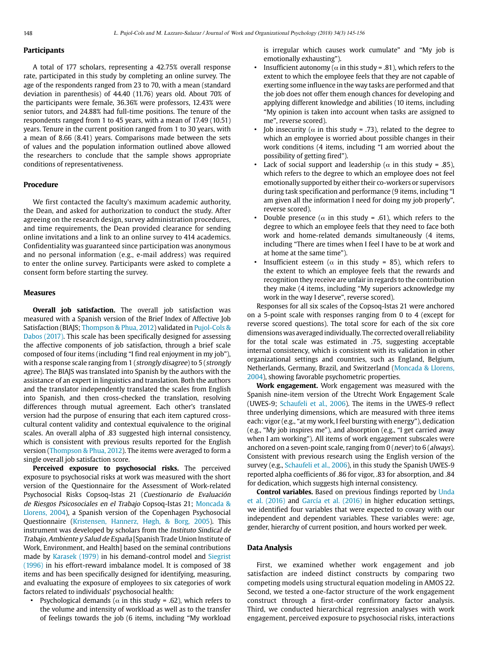# **Participants**

A total of 177 scholars, representing a 42.75% overall response rate, participated in this study by completing an online survey. The age of the respondents ranged from 23 to 70, with a mean (standard deviation in parenthesis) of 44.40 (11.76) years old. About 70% of the participants were female, 36.36% were professors, 12.43% were senior tutors, and 24.88% had full-time positions. The tenure of the respondents ranged from 1 to 45 years, with a mean of 17.49 (10.51) years. Tenure in the current position ranged from 1 to 30 years, with a mean of 8.66 (8.41) years. Comparisons made between the sets of values and the population information outlined above allowed the researchers to conclude that the sample shows appropriate conditions of representativeness.

# **Procedure**

We first contacted the faculty's maximum academic authority, the Dean, and asked for authorization to conduct the study. After agreeing on the research design, survey administration procedures, and time requirements, the Dean provided clearance for sending online invitations and a link to an online survey to 414 academics. Confidentiality was guaranteed since participation was anonymous and no personal information (e.g., e-mail address) was required to enter the online survey. Participants were asked to complete a consent form before starting the survey.

# **Measures**

**Overall job satisfaction.** The overall job satisfaction was measured with a Spanish version of the Brief Index of Affective Job Satisfaction (BIAJS; Thompson & Phua, 2012) validated in Pujol-Cols & Dabos (2017). This scale has been specifically designed for assessing the affective components of job satisfaction, through a brief scale composed of four items (including "I find real enjoyment in my job"), with a response scale ranging from 1 (strongly disagree) to 5 (strongly agree). The BIAJS was translated into Spanish by the authors with the assistance of an expert in linguistics and translation. Both the authors and the translator independently translated the scales from English into Spanish, and then cross-checked the translation, resolving differences through mutual agreement. Each other's translated version had the purpose of ensuring that each item captured crosscultural content validity and contextual equivalence to the original scales. An overall alpha of .83 suggested high internal consistency, which is consistent with previous results reported for the English version (Thompson & Phua, 2012). The items were averaged to form a single overall job satisfaction score.

**Perceived exposure to psychosocial risks.** The perceived exposure to psychosocial risks at work was measured with the short version of the Questionnaire for the Assessment of Work-related Psychosocial Risks Copsoq-Istas 21 (Cuestionario de Evaluación de Riesgos Psicosociales en el Trabajo Copsoq-Istas 21; Moncada & Llorens, 2004), a Spanish version of the Copenhagen Psychosocial Questionnaire (Kristensen, Hannerz, Høgh, & Borg, 2005). This instrument was developed by scholars from the Instituto Sindical de Trabajo, Ambiente y Salud de España [Spanish Trade Union Institute of Work, Environment, and Health] based on the seminal contributions made by Karasek (1979) in his demand-control model and Siegrist (1996) in his effort-reward imbalance model. It is composed of 38 items and has been specifically designed for identifying, measuring, and evaluating the exposure of employees to six categories of work factors related to individuals' psychosocial health:

• Psychological demands ( $\alpha$  in this study = .62), which refers to the volume and intensity of workload as well as to the transfer of feelings towards the job (6 items, including "My workload is irregular which causes work cumulate" and "My job is emotionally exhausting").

- Insufficient autonomy ( $\alpha$  in this study = .81), which refers to the extent to which the employee feels that they are not capable of exerting some influence in the way tasks are performed and that the job does not offer them enough chances for developing and applying different knowledge and abilities (10 items, including "My opinion is taken into account when tasks are assigned to me", reverse scored).
- Job insecurity ( $\alpha$  in this study = .73), related to the degree to which an employee is worried about possible changes in their work conditions (4 items, including "I am worried about the possibility of getting fired").
- Lack of social support and leadership ( $\alpha$  in this study = .85), which refers to the degree to which an employee does not feel emotionally supported by either their co-workers or supervisors during task specification and performance (9 items, including "I am given all the information I need for doing my job properly", reverse scored).
- Double presence ( $\alpha$  in this study = .61), which refers to the degree to which an employee feels that they need to face both work and home-related demands simultaneously (4 items, including "There are times when I feel I have to be at work and at home at the same time").
- Insufficient esteem ( $\alpha$  in this study = 85), which refers to the extent to which an employee feels that the rewards and recognition they receive are unfair in regards to the contribution they make (4 items, including "My superiors acknowledge my work in the way I deserve", reverse scored).

Responses for all six scales of the Copsoq-Istas 21 were anchored on a 5-point scale with responses ranging from 0 to 4 (except for reverse scored questions). The total score for each of the six core dimensions was averaged individually. The corrected overall reliability for the total scale was estimated in .75, suggesting acceptable internal consistency, which is consistent with its validation in other organizational settings and countries, such as England, Belgium, Netherlands, Germany, Brazil, and Switzerland (Moncada & Llorens, 2004), showing favorable psychometric properties.

**Work engagement.** Work engagement was measured with the Spanish nine-item version of the Utrecht Work Engagement Scale (UWES-9; Schaufeli et al., 2006). The items in the UWES-9 reflect three underlying dimensions, which are measured with three items each: vigor (e.g., "at my work, I feel bursting with energy"), dedication (e.g., "My job inspires me"), and absorption (e.g., "I get carried away when I am working"). All items of work engagement subscales were anchored on a seven-point scale, ranging from 0 (never) to 6 (always). Consistent with previous research using the English version of the survey (e.g., Schaufeli et al., 2006), in this study the Spanish UWES-9 reported alpha coefficients of .86 for vigor, .83 for absorption, and .84 for dedication, which suggests high internal consistency.

**Control variables.** Based on previous findings reported by Unda et al. (2016) and García et al. (2016) in higher education settings, we identified four variables that were expected to covary with our independent and dependent variables. These variables were: age, gender, hierarchy of current position, and hours worked per week.

#### **Data Analysis**

First, we examined whether work engagement and job satisfaction are indeed distinct constructs by comparing two competing models using structural equation modeling in AMOS 22. Second, we tested a one-factor structure of the work engagement construct through a first-order confirmatory factor analysis. Third, we conducted hierarchical regression analyses with work engagement, perceived exposure to psychosocial risks, interactions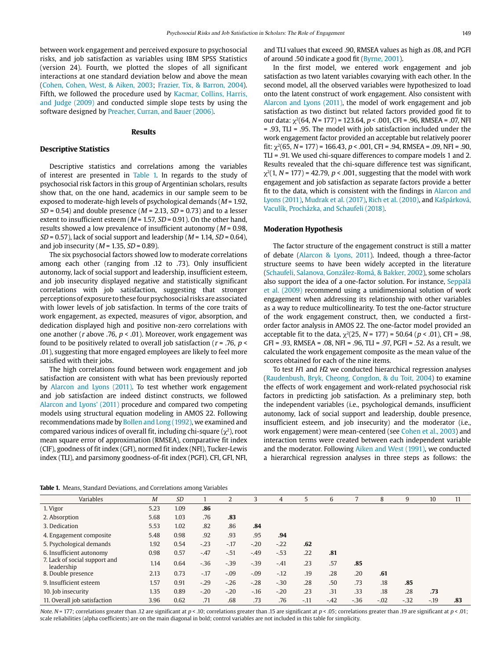between work engagement and perceived exposure to psychosocial risks, and job satisfaction as variables using IBM SPSS Statistics (version 24). Fourth, we plotted the slopes of all significant interactions at one standard deviation below and above the mean (Cohen, Cohen, West, & Aiken, 2003; Frazier, Tix, & Barron, 2004). Fifth, we followed the procedure used by Kacmar, Collins, Harris, and Judge (2009) and conducted simple slope tests by using the software designed by Preacher, Curran, and Bauer (2006).

# **Results**

# **Descriptive Statistics**

Descriptive statistics and correlations among the variables of interest are presented in Table 1. In regards to the study of psychosocial risk factors in this group of Argentinian scholars, results show that, on the one hand, academics in our sample seem to be exposed to moderate-high levels of psychological demands ( $M = 1.92$ ,  $SD = 0.54$ ) and double presence ( $M = 2.13$ ,  $SD = 0.73$ ) and to a lesser extent to insufficient esteem ( $M = 1.57$ ,  $SD = 0.91$ ). On the other hand, results showed a low prevalence of insufficient autonomy ( $M = 0.98$ ,  $SD = 0.57$ ), lack of social support and leadership ( $M = 1.14$ ,  $SD = 0.64$ ), and job insecurity ( $M = 1.35$ ,  $SD = 0.89$ ).

The six psychosocial factors showed low to moderate correlations among each other (ranging from .12 to .73). Only insufficient autonomy, lack of social support and leadership, insufficient esteem, and job insecurity displayed negative and statistically significant correlations with job satisfaction, suggesting that stronger perceptions of exposure to these four psychosocial risks are associated with lower levels of job satisfaction. In terms of the core traits of work engagement, as expected, measures of vigor, absorption, and dedication displayed high and positive non-zero correlations with one another (r above .76,  $p < .01$ ). Moreover, work engagement was found to be positively related to overall job satisfaction ( $r = .76$ ,  $p <$ .01), suggesting that more engaged employees are likely to feel more satisfied with their jobs.

The high correlations found between work engagement and job satisfaction are consistent with what has been previously reported by Alarcon and Lyons (2011). To test whether work engagement and job satisfaction are indeed distinct constructs, we followed Alarcon and Lyons' (2011) procedure and compared two competing models using structural equation modeling in AMOS 22. Following recommendations made by Bollen and Long (1992), we examined and compared various indices of overall fit, including chi-square  $(\chi^2)$ , root mean square error of approximation (RMSEA), comparative fit index (CIF), goodness of fit index (GFI), normed fit index (NFI), Tucker-Lewis index (TLI), and parsimony goodness-of-fit index (PGFI). CFI, GFI, NFI,

and TLI values that exceed .90, RMSEA values as high as .08, and PGFI of around .50 indicate a good fit (Byrne, 2001).

In the first model, we entered work engagement and job satisfaction as two latent variables covarying with each other. In the second model, all the observed variables were hypothesized to load onto the latent construct of work engagement. Also consistent with Alarcon and Lyons (2011), the model of work engagement and job satisfaction as two distinct but related factors provided good fit to our data:  $χ<sup>2</sup>(64, N = 177) = 123.64, p < .001$ , CFI = .96, RMSEA = .07, NFI = .93, TLI = .95. The model with job satisfaction included under the work engagement factor provided an acceptable but relatively poorer fit:  $\gamma^2$ (65, N = 177) = 166.43, p < .001, CFI = .94, RMSEA = .09, NFI = .90, TLI = .91. We used chi-square differences to compare models 1 and 2. Results revealed that the chi-square difference test was significant,  $\chi^2(1, N = 177) = 42.79$ ,  $p < .001$ , suggesting that the model with work engagement and job satisfaction as separate factors provide a better fit to the data, which is consistent with the findings in Alarcon and Lyons (2011), Mudrak et al. (2017), Rich et al. (2010), and Kašpárková, Vaculík, Procházka, and Schaufeli (2018).

# **Moderation Hypothesis**

The factor structure of the engagement construct is still a matter of debate (Alarcon & Lyons, 2011). Indeed, though a three-factor structure seems to have been widely accepted in the literature (Schaufeli, Salanova, González-Romá, & Bakker, 2002), some scholars also support the idea of a one-factor solution. For instance, Seppälä et al. (2009) recommend using a unidimensional solution of work engagement when addressing its relationship with other variables as a way to reduce multicollinearity. To test the one-factor structure of the work engagement construct, then, we conducted a firstorder factor analysis in AMOS 22. The one-factor model provided an acceptable fit to the data,  $\chi^2(25, N = 177) = 50.64$  ( $p < .01$ ), CFI = .98, GFI = .93, RMSEA = .08, NFI = .96, TLI = .97, PGFI = .52. As a result, we calculated the work engagement composite as the mean value of the scores obtained for each of the nine items.

To test H1 and H2 we conducted hierarchical regression analyses (Raudenbush, Bryk, Cheong, Congdon, & du Toit, 2004) to examine the effects of work engagement and work-related psychosocial risk factors in predicting job satisfaction. As a preliminary step, both the independent variables (i.e., psychological demands, insufficient autonomy, lack of social support and leadership, double presence, insufficient esteem, and job insecurity) and the moderator (i.e., work engagement) were mean-centered (see Cohen et al., 2003) and interaction terms were created between each independent variable and the moderator. Following Aiken and West (1991), we conducted a hierarchical regression analyses in three steps as follows: the

**Table 1.** Means, Standard Deviations, and Correlations among Variables

| $\cdots$                                    |                |           |        |         |        |        |       |        |        |        |       |       |     |
|---------------------------------------------|----------------|-----------|--------|---------|--------|--------|-------|--------|--------|--------|-------|-------|-----|
| Variables                                   | $\overline{M}$ | <b>SD</b> |        | 2       | 3      | 4      | 5     | 6      | 7      | 8      | 9     | 10    | 11  |
| 1. Vigor                                    | 5.23           | 1.09      | .86    |         |        |        |       |        |        |        |       |       |     |
| 2. Absorption                               | 5.68           | 1.03      | .76    | .83     |        |        |       |        |        |        |       |       |     |
| 3. Dedication                               | 5.53           | 1.02      | .82    | .86     | .84    |        |       |        |        |        |       |       |     |
| 4. Engagement composite                     | 5.48           | 0.98      | .92    | .93     | .95    | .94    |       |        |        |        |       |       |     |
| 5. Psychological demands                    | 1.92           | 0.54      | $-.23$ | $-17$   | $-.20$ | $-.22$ | .62   |        |        |        |       |       |     |
| 6. Insufficient autonomy                    | 0.98           | 0.57      | $-47$  | $-.51$  | $-.49$ | $-.53$ | .22   | .81    |        |        |       |       |     |
| 7. Lack of social support and<br>leadership | 1.14           | 0.64      | $-.36$ | $-39$   | $-.39$ | $-.41$ | .23   | .57    | .85    |        |       |       |     |
| 8. Double presence                          | 2.13           | 0.73      | $-17$  | $-0.09$ | $-.09$ | $-12$  | .19   | .28    | .20    | .61    |       |       |     |
| 9. Insufficient esteem                      | 1.57           | 0.91      | $-.29$ | $-.26$  | $-.28$ | $-.30$ | .28   | .50    | .73    | .18    | .85   |       |     |
| 10. Job insecurity                          | 1.35           | 0.89      | $-.20$ | $-.20$  | $-.16$ | $-.20$ | .23   | .31    | .33    | .18    | .28   | .73   |     |
| 11. Overall job satisfaction                | 3.96           | 0.62      | .71    | .68     | .73    | .76    | $-11$ | $-.42$ | $-.36$ | $-.02$ | $-32$ | $-19$ | .83 |

Note. N = 177; correlations greater than .12 are significant at  $p < 0.01$ ; correlations greater than .15 are significant at p  $< 0.01$ ; scale reliabilities (alpha coefficients) are on the main diagonal in bold; control variables are not included in this table for simplicity.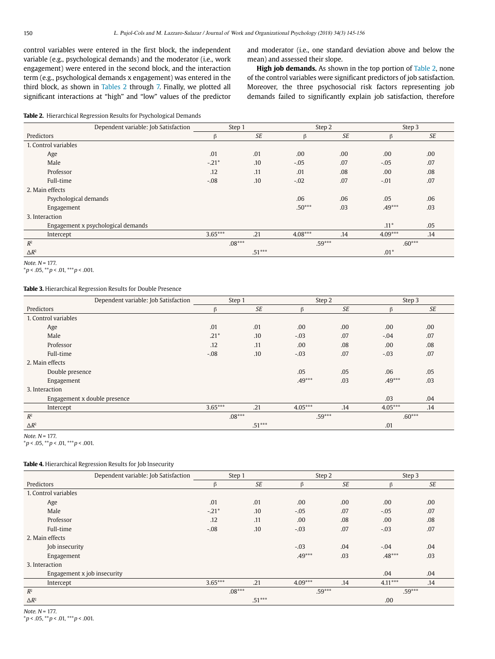control variables were entered in the first block, the independent variable (e.g., psychological demands) and the moderator (i.e., work engagement) were entered in the second block, and the interaction term (e.g., psychological demands x engagement) was entered in the third block, as shown in Tables 2 through 7. Finally, we plotted all significant interactions at "high" and "low" values of the predictor and moderator (i.e., one standard deviation above and below the mean) and assessed their slope.

**High job demands.** As shown in the top portion of Table 2, none of the control variables were significant predictors of job satisfaction. Moreover, the three psychosocial risk factors representing job demands failed to significantly explain job satisfaction, therefore

#### **Table 2.** Hierarchical Regression Results for Psychological Demands

|                      | Dependent variable: Job Satisfaction | Step 1             |           | Step 2    |           | Step 3    |           |
|----------------------|--------------------------------------|--------------------|-----------|-----------|-----------|-----------|-----------|
| Predictors           |                                      | $\beta$            | <b>SE</b> |           | <b>SE</b> | ß         | <b>SE</b> |
| 1. Control variables |                                      |                    |           |           |           |           |           |
| Age                  |                                      | .01                | .01       | .00       | .00       | .00.      | .00       |
|                      | Male                                 | $-.21*$            | .10       | $-.05$    | .07       | $-.05$    | .07       |
|                      | Professor                            | .12                | .11       | .01       | .08       | .00.      | .08       |
|                      | Full-time                            | $-.08$             | .10       | $-.02$    | .07       | $-.01$    | .07       |
| 2. Main effects      |                                      |                    |           |           |           |           |           |
|                      | Psychological demands                |                    |           | .06       | .06       | .05       | .06       |
|                      | Engagement                           |                    |           | $.50***$  | .03       | $.49***$  | .03       |
| 3. Interaction       |                                      |                    |           |           |           |           |           |
|                      | Engagement x psychological demands   |                    |           |           |           | $.11*$    | .05       |
|                      | Intercept                            | $3.65***$          | .21       | $4.08***$ | .14       | $4.09***$ | .14       |
| $R^2$                |                                      | $.08***$           |           | $.59***$  |           | $.60***$  |           |
| $\Delta R^2$         |                                      | $.51***$<br>$.01*$ |           |           |           |           |           |

Note.  $N = 177$ .

 $*p < .05, **p < .01, **p < .001.$ 

# **Table 3.** Hierarchical Regression Results for Double Presence

|                      | Dependent variable: Job Satisfaction | Step 1          |           | Step 2    |           | Step 3    |     |
|----------------------|--------------------------------------|-----------------|-----------|-----------|-----------|-----------|-----|
| Predictors           |                                      | $\beta$         | <b>SE</b> | β         | <b>SE</b> | $\beta$   | SE  |
| 1. Control variables |                                      |                 |           |           |           |           |     |
| Age                  |                                      | .01             | .01       | .00       | .00       | .00.      | .00 |
| Male                 |                                      | $.21*$          | .10       | $-.03$    | .07       | $-.04$    | .07 |
| Professor            |                                      | .12             | .11       | .00       | .08       | .00       | .08 |
| Full-time            |                                      | $-.08$          | .10       | $-.03$    | .07       | $-.03$    | .07 |
| 2. Main effects      |                                      |                 |           |           |           |           |     |
| Double presence      |                                      |                 |           | .05       | .05       | .06       | .05 |
| Engagement           |                                      |                 |           | $.49***$  | .03       | $.49***$  | .03 |
| 3. Interaction       |                                      |                 |           |           |           |           |     |
|                      | Engagement x double presence         |                 |           |           |           | .03       | .04 |
| Intercept            |                                      | $3.65***$       | .21       | $4.05***$ | .14       | $4.05***$ | .14 |
| $R^2$                |                                      | $.08***$        |           | $.59***$  |           | $.60***$  |     |
| $\Delta R^2$         |                                      | $.51***$<br>.01 |           |           |           |           |     |

Note.  $N = 177$ .

 $*p < .05, **p < .01, **p < .001.$ 

# **Table 4.** Hierarchical Regression Results for Job Insecurity

|                             | Dependent variable: Job Satisfaction | Step 1    |           | Step 2    |           | Step 3    |           |
|-----------------------------|--------------------------------------|-----------|-----------|-----------|-----------|-----------|-----------|
| Predictors                  |                                      | ß         | <b>SE</b> | β         | <b>SE</b> | $\beta$   | <b>SE</b> |
| 1. Control variables        |                                      |           |           |           |           |           |           |
| Age                         |                                      | .01       | .01       | .00       | .00       | .00.      | .00       |
| Male                        |                                      | $-.21*$   | .10       | $-.05$    | .07       | $-.05$    | .07       |
| Professor                   |                                      | .12       | .11       | .00       | .08       | .00       | .08       |
| Full-time                   |                                      | $-.08$    | .10       | $-.03$    | .07       | $-.03$    | .07       |
| 2. Main effects             |                                      |           |           |           |           |           |           |
| Job insecurity              |                                      |           |           | $-.03$    | .04       | $-.04$    | .04       |
| Engagement                  |                                      |           |           | $.49***$  | .03       | $.48***$  | .03       |
| 3. Interaction              |                                      |           |           |           |           |           |           |
| Engagement x job insecurity |                                      |           |           |           |           | .04       | .04       |
| Intercept                   |                                      | $3.65***$ | .21       | $4.09***$ | .14       | $4.11***$ | .14       |
| $R^2$                       |                                      | $.08***$  |           |           | $.59***$  |           | $.59***$  |
| $\Delta R^2$                |                                      |           | $.51***$  |           |           | .00       |           |

Note.  $N = 177$ .

 $**p* < .05, ***p* < .01, ***p* < .001.$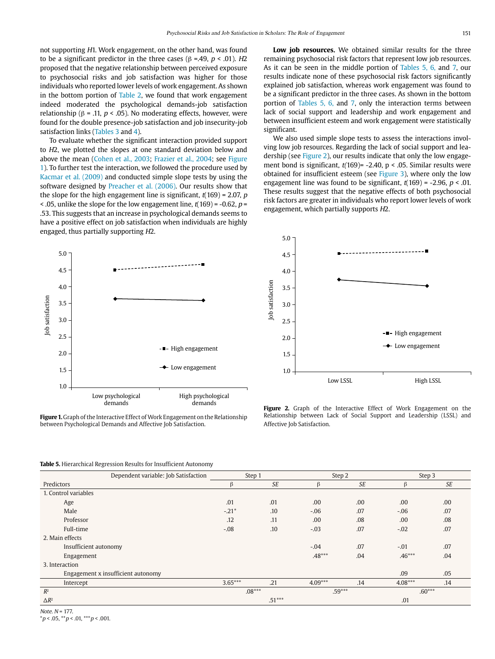not supporting H1. Work engagement, on the other hand, was found to be a significant predictor in the three cases (β =.49,  $p < .01$ ). H2 proposed that the negative relationship between perceived exposure to psychosocial risks and job satisfaction was higher for those individuals who reported lower levels of work engagement. As shown in the bottom portion of Table 2, we found that work engagement indeed moderated the psychological demands-job satisfaction relationship (β = .11,  $p <$  .05). No moderating effects, however, were found for the double presence-job satisfaction and job insecurity-job satisfaction links (Tables 3 and 4).

To evaluate whether the significant interaction provided support to H2, we plotted the slopes at one standard deviation below and above the mean (Cohen et al., 2003; Frazier et al., 2004; see Figure 1). To further test the interaction, we followed the procedure used by Kacmar et al. (2009) and conducted simple slope tests by using the software designed by Preacher et al. (2006). Our results show that the slope for the high engagement line is significant,  $t(169) = 2.07$ , p  $\leq$  0.05, unlike the slope for the low engagement line, t(169) = -0.62, p = .53. This suggests that an increase in psychological demands seems to have a positive effect on job satisfaction when individuals are highly engaged, thus partially supporting H2.

**Low job resources.** We obtained similar results for the three remaining psychosocial risk factors that represent low job resources. As it can be seen in the middle portion of Tables 5, 6, and 7, our results indicate none of these psychosocial risk factors significantly explained job satisfaction, whereas work engagement was found to be a significant predictor in the three cases. As shown in the bottom portion of Tables 5, 6, and 7, only the interaction terms between lack of social support and leadership and work engagement and between insufficient esteem and work engagement were statistically significant.

We also used simple slope tests to assess the interactions involving low job resources. Regarding the lack of social support and leadership (see Figure 2), our results indicate that only the low engagement bond is significant,  $t(169)$ = -2.40, p < .05. Similar results were obtained for insufficient esteem (see Figure 3), where only the low engagement line was found to be significant,  $t(169) = -2.96$ ,  $p < .01$ . These results suggest that the negative effects of both psychosocial risk factors are greater in individuals who report lower levels of work engagement, which partially supports H2.



**Figure 1.** Graph of the Interactive Effect of Work Engagement on the Relationship between Psychological Demands and Affective Job Satisfaction.



Figure 2. Graph of the Interactive Effect of Work Engagement on the Relationship between Lack of Social Support and Leadership (LSSL) and Affective Job Satisfaction.

**Table 5.** Hierarchical Regression Results for Insufficient Autonomy

|                       |                                      | Step 2<br>Step 3 |           |           |           |           |     |
|-----------------------|--------------------------------------|------------------|-----------|-----------|-----------|-----------|-----|
|                       | Dependent variable: Job Satisfaction | Step 1           |           |           |           |           |     |
| Predictors            |                                      | β                | <b>SE</b> | β         | <b>SE</b> | $\beta$   | SE  |
| 1. Control variables  |                                      |                  |           |           |           |           |     |
| Age                   |                                      | .01              | .01       | .00       | .00       | .00       | .00 |
| Male                  |                                      | $-.21*$          | .10       | $-.06$    | .07       | $-.06$    | .07 |
| Professor             |                                      | .12              | .11       | .00       | .08       | .00       | .08 |
| Full-time             |                                      | $-.08$           | .10       | $-.03$    | .07       | $-.02$    | .07 |
| 2. Main effects       |                                      |                  |           |           |           |           |     |
| Insufficient autonomy |                                      |                  |           | $-.04$    | .07       | $-.01$    | .07 |
| Engagement            |                                      |                  |           | $.48***$  | .04       | $.46***$  | .04 |
| 3. Interaction        |                                      |                  |           |           |           |           |     |
|                       | Engagement x insufficient autonomy   |                  |           |           |           | .09       | .05 |
| Intercept             |                                      | $3.65***$        | .21       | $4.09***$ | .14       | $4.08***$ | .14 |
| $R^2$                 |                                      | $.08***$         |           | $.59***$  |           | $.60***$  |     |
| $\Delta R^2$          |                                      |                  | $.51***$  |           |           | .01       |     |

Note.  $N = 177$ .

 $*p < .05, **p < .01, **p < .001.$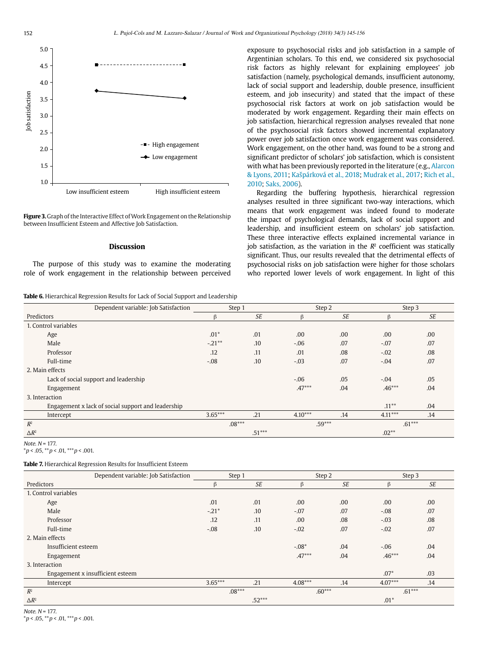

**Figure 3.** Graph of the Interactive Effect of Work Engagement on the Relationship between Insufficient Esteem and Affective Job Satisfaction.

# **Discussion**

The purpose of this study was to examine the moderating role of work engagement in the relationship between perceived

**Table 6.** Hierarchical Regression Results for Lack of Social Support and Leadership

exposure to psychosocial risks and job satisfaction in a sample of Argentinian scholars. To this end, we considered six psychosocial risk factors as highly relevant for explaining employees' job satisfaction (namely, psychological demands, insufficient autonomy, lack of social support and leadership, double presence, insufficient esteem, and job insecurity) and stated that the impact of these psychosocial risk factors at work on job satisfaction would be moderated by work engagement. Regarding their main effects on job satisfaction, hierarchical regression analyses revealed that none of the psychosocial risk factors showed incremental explanatory power over job satisfaction once work engagement was considered. Work engagement, on the other hand, was found to be a strong and significant predictor of scholars' job satisfaction, which is consistent with what has been previously reported in the literature (e.g., Alarcon & Lyons, 2011; Kašpárková et al., 2018; Mudrak et al., 2017; Rich et al., 2010; Saks, 2006).

Regarding the buffering hypothesis, hierarchical regression analyses resulted in three significant two-way interactions, which means that work engagement was indeed found to moderate the impact of psychological demands, lack of social support and leadership, and insufficient esteem on scholars' job satisfaction. These three interactive effects explained incremental variance in job satisfaction, as the variation in the  $R^2$  coefficient was statically significant. Thus, our results revealed that the detrimental effects of psychosocial risks on job satisfaction were higher for those scholars who reported lower levels of work engagement. In light of this

|                      | Dependent variable: Job Satisfaction               | Step 1    |           |           | Step 2    |           | Step 3    |
|----------------------|----------------------------------------------------|-----------|-----------|-----------|-----------|-----------|-----------|
| Predictors           |                                                    | β         | <b>SE</b> | $\beta$   | <b>SE</b> | ß         | <b>SE</b> |
| 1. Control variables |                                                    |           |           |           |           |           |           |
| Age                  |                                                    | $.01*$    | .01       | .00       | .00       | .00       | .00       |
| Male                 |                                                    | $-.21***$ | .10       | $-.06$    | .07       | $-.07$    | .07       |
| Professor            |                                                    | .12       | .11       | .01       | .08       | $-.02$    | .08       |
| Full-time            |                                                    | $-.08$    | .10       | $-.03$    | .07       | $-.04$    | .07       |
| 2. Main effects      |                                                    |           |           |           |           |           |           |
|                      | Lack of social support and leadership              |           |           | $-.06$    | .05       | $-.04$    | .05       |
| Engagement           |                                                    |           |           | $.47***$  | .04       | $.46***$  | .04       |
| 3. Interaction       |                                                    |           |           |           |           |           |           |
|                      | Engagement x lack of social support and leadership |           |           |           |           | $.11***$  | .04       |
| Intercept            |                                                    | $3.65***$ | .21       | $4.10***$ | .14       | $4.11***$ | .14       |
| $R^2$                |                                                    | $.08***$  |           | $.59***$  |           | $.61***$  |           |
| $\Delta R^2$         |                                                    |           | $.51***$  |           |           | $.02**$   |           |

#### Note.  $N = 177$ .

 $*p < .05, **p < .01, **p < .001.$ 

**Table 7.** Hierarchical Regression Results for Insufficient Esteem

|                      | Dependent variable: Job Satisfaction | Step 1    |          |           | Step 2    |           | Step 3 |
|----------------------|--------------------------------------|-----------|----------|-----------|-----------|-----------|--------|
| Predictors           |                                      | $\beta$   | SE       | $\beta$   | <b>SE</b> | ß         | SE     |
| 1. Control variables |                                      |           |          |           |           |           |        |
| Age                  |                                      | .01       | .01      | .00       | .00.      | .00       | .00    |
| Male                 |                                      | $-.21*$   | .10      | $-.07$    | .07       | $-.08$    | .07    |
| Professor            |                                      | .12       | .11      | .00       | .08       | $-.03$    | .08    |
| Full-time            |                                      | $-.08$    | .10      | $-.02$    | .07       | $-.02$    | .07    |
| 2. Main effects      |                                      |           |          |           |           |           |        |
| Insufficient esteem  |                                      |           |          | $-.08*$   | .04       | $-.06$    | .04    |
| Engagement           |                                      |           |          | $.47***$  | .04       | $.46***$  | .04    |
| 3. Interaction       |                                      |           |          |           |           |           |        |
|                      | Engagement x insufficient esteem     |           |          |           |           | $.07*$    | .03    |
| Intercept            |                                      | $3.65***$ | .21      | $4.08***$ | .14       | $4.07***$ | .14    |
| $R^2$                |                                      | $.08***$  |          | $.60***$  |           | $.61***$  |        |
| $\Delta R^2$         |                                      |           | $.52***$ |           |           | $.01*$    |        |

Note.  $N = 177$ .

 $*p < .05, **p < .01, **p < .001.$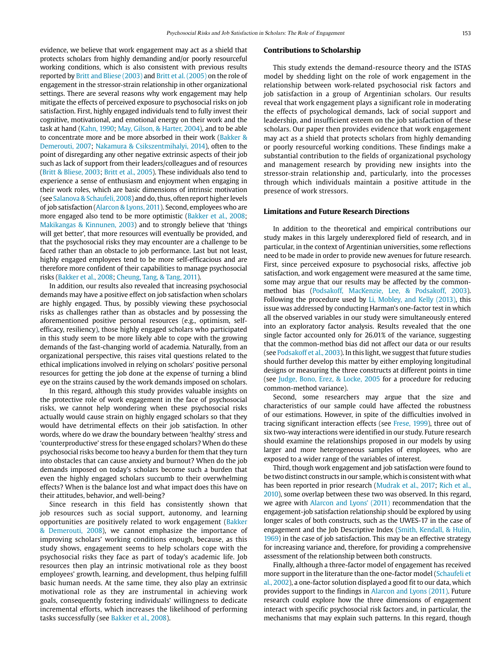evidence, we believe that work engagement may act as a shield that protects scholars from highly demanding and/or poorly resourceful working conditions, which is also consistent with previous results reported by Britt and Bliese (2003) and Britt et al. (2005) on the role of engagement in the stressor-strain relationship in other organizational settings. There are several reasons why work engagement may help mitigate the effects of perceived exposure to psychosocial risks on job satisfaction. First, highly engaged individuals tend to fully invest their cognitive, motivational, and emotional energy on their work and the task at hand (Kahn, 1990; May, Gilson, & Harter, 2004), and to be able to concentrate more and be more absorbed in their work (Bakker & Demerouti, 2007; Nakamura & Csikszentmihalyi, 2014), often to the point of disregarding any other negative extrinsic aspects of their job such as lack of support from their leaders/colleagues and of resources (Britt & Bliese, 2003; Britt et al., 2005). These individuals also tend to experience a sense of enthusiasm and enjoyment when engaging in their work roles, which are basic dimensions of intrinsic motivation (see Salanova & Schaufeli, 2008) and do, thus, often report higher levels of job satisfaction (Alarcon & Lyons, 2011). Second, employees who are more engaged also tend to be more optimistic (Bakker et al., 2008; Makikangas & Kinnunen, 2003) and to strongly believe that 'things will get better', that more resources will eventually be provided, and that the psychosocial risks they may encounter are a challenge to be faced rather than an obstacle to job performance. Last but not least, highly engaged employees tend to be more self-efficacious and are therefore more confident of their capabilities to manage psychosocial risks (Bakker et al., 2008; Cheung, Tang, & Tang, 2011).

In addition, our results also revealed that increasing psychosocial demands may have a positive effect on job satisfaction when scholars are highly engaged. Thus, by possibly viewing these psychosocial risks as challenges rather than as obstacles and by possessing the aforementioned positive personal resources (e.g., optimism, selfefficacy, resiliency), those highly engaged scholars who participated in this study seem to be more likely able to cope with the growing demands of the fast-changing world of academia. Naturally, from an organizational perspective, this raises vital questions related to the ethical implications involved in relying on scholars' positive personal resources for getting the job done at the expense of turning a blind eye on the strains caused by the work demands imposed on scholars.

In this regard, although this study provides valuable insights on the protective role of work engagement in the face of psychosocial risks, we cannot help wondering when these psychosocial risks actually would cause strain on highly engaged scholars so that they would have detrimental effects on their job satisfaction. In other words, where do we draw the boundary between 'healthy' stress and 'counterproductive' stress for these engaged scholars? When do these psychosocial risks become too heavy a burden for them that they turn into obstacles that can cause anxiety and burnout? When do the job demands imposed on today's scholars become such a burden that even the highly engaged scholars succumb to their overwhelming effects? When is the balance lost and what impact does this have on their attitudes, behavior, and well-being?

Since research in this field has consistently shown that job resources such as social support, autonomy, and learning opportunities are positively related to work engagement (Bakker & Demerouti, 2008), we cannot emphasize the importance of improving scholars' working conditions enough, because, as this study shows, engagement seems to help scholars cope with the psychosocial risks they face as part of today's academic life. Job resources then play an intrinsic motivational role as they boost employees' growth, learning, and development, thus helping fulfill basic human needs. At the same time, they also play an extrinsic motivational role as they are instrumental in achieving work goals, consequently fostering individuals' willingness to dedicate incremental efforts, which increases the likelihood of performing tasks successfully (see Bakker et al., 2008).

#### **Contributions to Scholarship**

This study extends the demand-resource theory and the ISTAS model by shedding light on the role of work engagement in the relationship between work-related psychosocial risk factors and job satisfaction in a group of Argentinian scholars. Our results reveal that work engagement plays a significant role in moderating the effects of psychological demands, lack of social support and leadership, and insufficient esteem on the job satisfaction of these scholars. Our paper then provides evidence that work engagement may act as a shield that protects scholars from highly demanding or poorly resourceful working conditions. These findings make a substantial contribution to the fields of organizational psychology and management research by providing new insights into the stressor-strain relationship and, particularly, into the processes through which individuals maintain a positive attitude in the presence of work stressors.

# **Limitations and Future Research Directions**

In addition to the theoretical and empirical contributions our study makes in this largely underexplored field of research, and in particular, in the context of Argentinian universities, some reflections need to be made in order to provide new avenues for future research. First, since perceived exposure to psychosocial risks, affective job satisfaction, and work engagement were measured at the same time, some may argue that our results may be affected by the commonmethod bias (Podsakoff, MacKenzie, Lee, & Podsakoff, 2003). Following the procedure used by Li, Mobley, and Kelly (2013), this issue was addressed by conducting Harman's one-factor test in which all the observed variables in our study were simultaneously entered into an exploratory factor analysis. Results revealed that the one single factor accounted only for 26.01% of the variance, suggesting that the common-method bias did not affect our data or our results (see Podsakoff et al., 2003). In this light, we suggest that future studies should further develop this matter by either employing longitudinal designs or measuring the three constructs at different points in time (see Judge, Bono, Erez, & Locke, 2005 for a procedure for reducing common-method variance).

Second, some researchers may argue that the size and characteristics of our sample could have affected the robustness of our estimations. However, in spite of the difficulties involved in tracing significant interaction effects (see Frese, 1999), three out of six two-way interactions were identified in our study. Future research should examine the relationships proposed in our models by using larger and more heterogeneous samples of employees, who are exposed to a wider range of the variables of interest.

Third, though work engagement and job satisfaction were found to be two distinct constructs in our sample, which is consistent with what has been reported in prior research (Mudrak et al., 2017; Rich et al., 2010), some overlap between these two was observed. In this regard, we agree with Alarcon and Lyons' (2011) recommendation that the engagement-job satisfaction relationship should be explored by using longer scales of both constructs, such as the UWES-17 in the case of engagement and the Job Descriptive Index (Smith, Kendall, & Hulin, 1969) in the case of job satisfaction. This may be an effective strategy for increasing variance and, therefore, for providing a comprehensive assessment of the relationship between both constructs.

Finally, although a three-factor model of engagement has received more support in the literature than the one-factor model (Schaufeli et al., 2002), a one-factor solution displayed a good fit to our data, which provides support to the findings in Alarcon and Lyons (2011). Future research could explore how the three dimensions of engagement interact with specific psychosocial risk factors and, in particular, the mechanisms that may explain such patterns. In this regard, though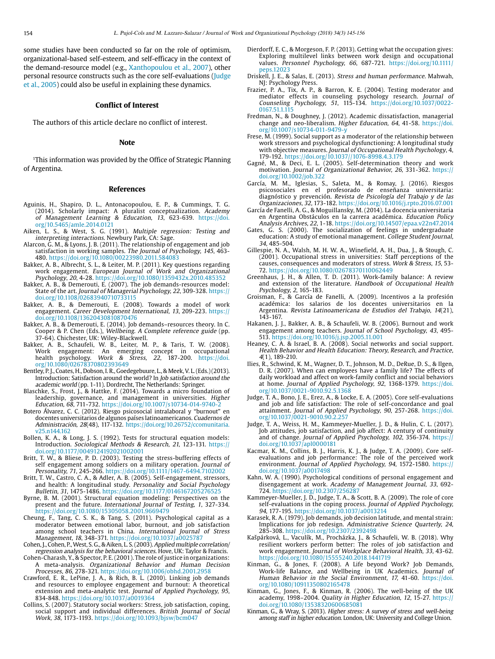some studies have been conducted so far on the role of optimism, organizational-based self-esteem, and self-efficacy in the context of the demand-resource model (e.g., Xanthopoulou et al., 2007), other personal resource constructs such as the core self-evaluations (Judge et al., 2005) could also be useful in explaining these dynamics.

#### **Conflict of Interest**

The authors of this article declare no conflict of interest.

#### **Note**

1This information was provided by the Office of Strategic Planning of Argentina.

#### **References**

- Aguinis, H., Shapiro, D. L., Antonacopoulou, E. P., & Cummings, T. G. (2014). Scholarly impact: A pluralist conceptualization. Academy of Management Learning & Education, 13, 623-639. [https://doi.](https://doi.org/10.5465/amle.2014.0121) [org/10.5465/amle.2014.0121](https://doi.org/10.5465/amle.2014.0121)
- Aiken, L. S., & West, S. G. (1991). Multiple regression: Testing and interpreting interactions. Newbury Park, CA: Sage.
- Alarcon, G. M., & Lyons, J. B. (2011). The relationship of engagement and job satisfaction in working samples. The Journal of Psychology, 145, 463- 480. <https://doi.org/10.1080/00223980.2011.584083>
- Bakker, A. B., Albrecht, S. L., & Leiter, M. P. (2011). Key questions regarding work engagement. European Journal of Work and Organizational Psychology, 20, 4-28. <https://doi.org/10.1080/1359432x.2010.485352>
- Bakker, A. B., & Demerouti, E. (2007). The job demands-resources model: State of the art. Journal of Managerial Psychology, 22, 309-328. [https://](https://doi.org/10.1108/02683940710733115) [doi.org/10.1108/02683940710733115](https://doi.org/10.1108/02683940710733115)
- Bakker, A. B., & Demerouti, E. (2008). Towards a model of work engagement. Career Development International, 13, 209-223. [https://](https://doi.org/10.1108/13620430810870476) [doi.org/10.1108/13620430810870476](https://doi.org/10.1108/13620430810870476)
- Bakker, A. B., & Demerouti, E. (2014). Job demands–resources theory. In C. Cooper & P. Chen (Eds.), *Wellbeing. A Complete reference guide* (pp.<br>37-64). Chichester, UK: Wiley-Blackwell.
- Bakker, A. B., Schaufeli, W. B., Leiter, M. P., & Taris, T. W. (2008).<br>Work engagement: An emerging concept in occupational An emerging concept in occupational Work & Stress, 22, 187-200. [https://doi.](https://doi.org/10.1080/02678370802393649) health psychology. Work &<br>org/10.1080/02678370802393649
- Bentley, P. J., Coates, H., Dobson, I. R., Goedegebuure, L., & Meek, V. L. (Eds.) (2013). Introduction: Satisfaction around the world? In Job satisfaction around the academic world (pp. 1-11). Dordrecht, The Netherlands: Springer.
- Blaschke, S., Frost, J., & Hattke, F. (2014). Towards a micro foundation of leadership, governance, and management in universities. Higher Education, 68, 711-732.<https://doi.org/10.1007/s10734-014-9740-2>
- Botero Álvarez, C. C. (2012). Riesgo psicosocial intralaboral y "burnout" en docentes universitarios de algunos países latinoamericanos. Cuadernos de Administración, 28(48), 117-132. [https://doi.org/10.26752/ccomunitaria.](https://doi.org/10.26752/ccomunitaria.v25.n144.162) [v25.n144.162](https://doi.org/10.26752/ccomunitaria.v25.n144.162)
- Bollen, K. A., & Long, J. S. (1992). Tests for structural equation models: Introduction. Sociological Methods & Research, 21, 123-131. [https://](https://doi.org/10.1177/0049124192021002001) [doi.org/10.1177/0049124192021002001](https://doi.org/10.1177/0049124192021002001)
- Britt, T. W., & Bliese, P. D. (2003). Testing the stress-buffering effects of self engagement among soldiers on a military operation. Journal of Personality, 71, 245-266. <https://doi.org/10.1111/1467-6494.7102002>
- Britt, T. W., Castro, C. A., & Adler, A. B. (2005). Self-engagement, stressors, and health: A longitudinal study. Personality and Social Psychology Bulletin, 31, 1475-1486.<https://doi.org/10.1177/0146167205276525>
- Byrne, B. M. (2001). Structural equation modeling: Perspectives on the present and the future. International Journal of Testing, 1, 327-334. <https://doi.org/10.1080/15305058.2001.9669479>
- Cheung, F., Tang, C. S. K., & Tang, S. (2011). Psychological capital as a moderator between emotional labor, burnout, and job satisfaction among school teachers in China. International Journal of Stress Management, 18, 348-371.<https://doi.org/10.1037/a0025787>
- Cohen, J., Cohen, P., West, S. G., & Aiken, L. S. (2003). Applied multiple correlation/ regression analysis for the behavioral sciences. Hove, UK: Taylor & Francis.
- Cohen-Charash, Y., & Spector, P. E. (2001). The role of justice in organizations: A meta-analysis. Organizational Behavior and Human Decision Processes, 86, 278-321. <https://doi.org/10.1006/obhd.2001.2958>
- Crawford, E. R., LePine, J. A., & Rich, B. L. (2010). Linking job demands and resources to employee engagement and burnout: A theoretical extension and meta-analytic test. Journal of Applied Psychology, 95, 834-848.<https://doi.org/10.1037/a0019364>
- Collins, S. (2007). Statutory social workers: Stress, job satisfaction, coping, social support and individual differences. British Journal of Social Work, 38, 1173-1193. <https://doi.org/10.1093/bjsw/bcm047>
- Dierdorff, E. C., & Morgeson, F. P. (2013). Getting what the occupation gives: Exploring multilevel links between work design and occupational values. Personnel Psychology, 66, 687-721. [https://doi.org/10.1111/](https://doi.org/10.1111/peps.12023) [peps.12023](https://doi.org/10.1111/peps.12023)
- Driskell, J. E., & Salas, E. (2013). Stress and human performance. Mahwah, NJ: Psychology Press.
- Frazier, P. A., Tix, A. P., & Barron, K. E. (2004). Testing moderator and mediator effects in counseling psychology research. Journal of Counseling Psychology, 51, 115-134. [https://doi.org/10.1037/0022-](https://doi.org/10.1037/0022-0167.51.1.115) [0167.51.1.115](https://doi.org/10.1037/0022-0167.51.1.115)
- Fredman, N., & Doughney, J. (2012). Academic dissatisfaction, managerial change and neo-liberalism. Higher Education, 64, 41-58. [https://doi.](https://doi.org/10.1007/s10734-011-9479-y) [org/10.1007/s10734-011-9479-y](https://doi.org/10.1007/s10734-011-9479-y)
- Frese, M. (1999). Social support as a moderator of the relationship between work stressors and psychological dysfunctioning: A longitudinal study with objective measures. Journal of Occupational Health Psychology, 4, 179-192. <https://doi.org/10.1037//1076-8998.4.3.179>
- Gagné, M., & Deci, E. L. (2005). Self-determination theory and work motivation. Journal of Organizational Behavior, 26, 331-362. [https://](https://doi.org/10.1002/job.322) [doi.org/10.1002/job.322](https://doi.org/10.1002/job.322)
- García, M. M., Iglesias, S., Saleta, M., & Romay, J. (2016). Riesgos psicosociales en el profesorado de enseñanza universitaria: diagnóstico y prevención. Revista de Psicología del Trabajo y de las Organizaciones, 32, 173-182. <https://doi.org/10.1016/j.rpto.2016.07.001>
- García de Fanelli, A. G., & Moguillansky, M. (2014). La docencia universitaria en Argentina Obstáculos en la carrera académica. Education Policy Analysis Archives, 22, 1-18.<https://doi.org/10.14507/epaa.v22n47.2014>
- Gates, G. S. (2000). The socialization of feelings in undergraduate education: A study of emotional management. College Student Journal, 34, 485-504.
- Gillespie, N. A., Walsh, M. H. W. A., Winefield, A. H., Dua, J., & Stough, C. (2001). Occupational stress in universities: Staff perceptions of the causes, consequences and moderators of stress. Work & Stress, 15, 53- 72. <https://doi.org/10.1080/02678370110062449>
- Greenhaus, J. H., & Allen, T. D. (2011). Work-family balance: A review and extension of the literature. Handbook of Occupational Health Psychology, 2, 165-183.
- Groisman, F., & García de Fanelli, A. (2009). Incentivos a la profesión académica: los salarios de los docentes universitarios en la Argentina. Revista Latinoamericana de Estudios del Trabajo, 14(21), 143-167.
- Hakanen, J. J., Bakker, A. B., & Schaufeli, W. B. (2006). Burnout and work engagement among teachers. Journal of School Psychology, 43, 495- 513.<https://doi.org/10.1016/j.jsp.2005.11.001>
- Heaney, C. A. & Israel, B. A. (2008). Social networks and social support. Health Behavior and Health Education: Theory, Research, and Practice, 4(1), 189-210.
- Ilies, R., Schwind, K. M., Wagner, D. T., Johnson, M. D., DeRue, D. S., & Ilgen, D. R. (2007). When can employees have a family life? The effects of daily workload and affect on work-family conflict and social behaviors at home. Journal of Applied Psychology, 92, 1368-1379. [https://doi.](https://doi.org/10.1037/0021-9010.92.5.1368) [org/10.1037/0021-9010.92.5.1368](https://doi.org/10.1037/0021-9010.92.5.1368)
- Judge, T. A., Bono, J. E., Erez, A., & Locke, E. A. (2005). Core self-evaluations and job and life satisfaction: The role of self-concordance and goal attainment. Journal of Applied Psychology, 90, 257-268. [https://doi.](https://doi.org/10.1037/0021-9010.90.2.257) [org/10.1037/0021-9010.90.2.257](https://doi.org/10.1037/0021-9010.90.2.257)
- Judge, T. A., Weiss, H. M., Kammeyer-Mueller, J. D., & Hulin, C. L. (2017). Job attitudes, job satisfaction, and job affect: A century of continuity and of change. Journal of Applied Psychology, 102, 356-374. [https://](https://doi.org/10.1037/apl0000181) [doi.org/10.1037/apl0000181](https://doi.org/10.1037/apl0000181)
- Kacmar, K. M., Collins, B. J., Harris, K. J., & Judge, T. A. (2009). Core selfevaluations and job performance: The role of the perceived work environment. Journal of Applied Psychology, 94, 1572-1580. [https://](https://doi.org/10.1037/a0017498) [doi.org/10.1037/a0017498](https://doi.org/10.1037/a0017498)
- Kahn, W. A. (1990). Psychological conditions of personal engagement and disengagement at work. Academy of Management Journal, 33, 692- 724. <https://doi.org/10.2307/256287>
- Kammeyer-Mueller, J. D., Judge, T. A., & Scott, B. A. (2009). The role of core self-evaluations in the coping process. Journal of Applied Psychology, 94, 177-195. <https://doi.org/10.1037/a0013214>
- Karasek, R. A. (1979). Job demands, job decision latitude, and mental strain: Implications for job redesign. Administrative Science Quarterly, 24, 285-308. <https://doi.org/10.2307/2392498>
- Kašpárková, L., Vaculík, M., Procházka, J., & Schaufeli, W. B. (2018). Why resilient workers perform better: The roles of job satisfaction and work engagement. Journal of Workplace Behavioral Health, 33, 43-62. <https://doi.org/10.1080/15555240.2018.1441719>
- Kinman, G., & Jones, F. (2008). A Life beyond Work? Job Demands, Work-life Balance, and Wellbeing in UK Academics. Journal of Human Behavior in the Social Environment, 17, 41-60. [https://doi.](https://doi.org/10.1080/10911350802165478) [org/10.1080/10911350802165478](https://doi.org/10.1080/10911350802165478)
- Kinman, G., Jones, F., & Kinman, R. (2006). The well-being of the UK academy, 1998–2004. Quality in Higher Education, 12, 15-27. [https://](https://doi.org/10.1080/13538320600685081) [doi.org/10.1080/13538320600685081](https://doi.org/10.1080/13538320600685081)
- Kinman, G., & Wray, S. (2013). Higher stress: A survey of stress and well-being among staff in higher education. London, UK: University and College Union.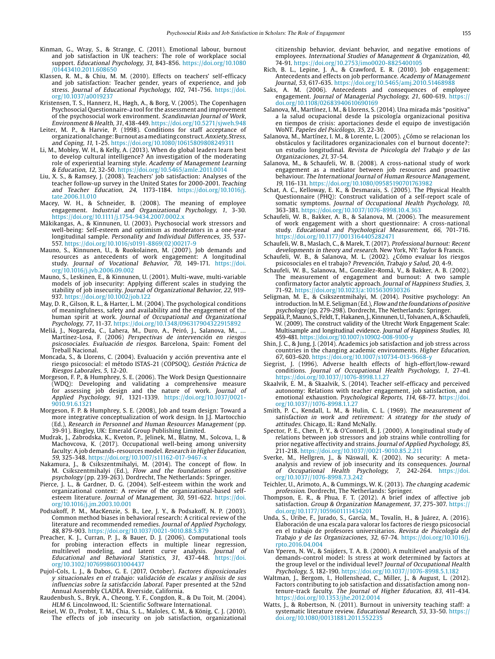- Kinman, G., Wray, S., & Strange, C. (2011). Emotional labour, burnout and job satisfaction in UK teachers: The role of workplace social support. Educational Psychology, 31, 843-856. [https://doi.org/10.1080](https://doi.org/10.1080/01443410.2011.608650) [/01443410.2011.608650](https://doi.org/10.1080/01443410.2011.608650)
- Klassen, R. M., & Chiu, M. M. (2010). Effects on teachers' self-efficacy and job satisfaction: Teacher gender, years of experience, and job stress. Journal of Educational Psychology, 102, 741-756. [https://doi.](https://doi.org/10.1037/a0019237) [org/10.1037/a0019237](https://doi.org/10.1037/a0019237)
- Kristensen, T. S., Hannerz, H., Høgh, A., & Borg, V. (2005). The Copenhagen Psychosocial Questionnaire-a tool for the assessment and improvement of the psychosocial work environment. Scandinavian Journal of Work, Environment & Health, 31, 438-449.<https://doi.org/10.5271/sjweh.948>
- Leiter, M. P., & Harvie, P. (1998). Conditions for staff acceptance of organizational change: Burnout as a mediating construct.Anxiety, Stress, and Coping, 11, 1-25. <https://doi.org/10.1080/10615809808249311>
- Li, M., Mobley, W. H., & Kelly, A. (2013). When do global leaders learn best to develop cultural intelligence? An investigation of the moderating role of experiential learning style. Academy of Management Learning & Education, 12, 32-50. <https://doi.org/10.5465/amle.2011.0014>
- Liu, X. S., & Ramsey, J. (2008). Teachers' job satisfaction: Analyses of the teacher follow-up survey in the United States for 2000-2001. Teaching and Teacher Education, 24, 1173-1184. [https://doi.org/10.1016/j.](https://doi.org/10.1016/j.tate.2006.11.010) [tate.2006.11.010](https://doi.org/10.1016/j.tate.2006.11.010)
- Macey, W. H., & Schneider, B. (2008). The meaning of employee engagement. Industrial and Organizational Psychology, 1, 3-30. <https://doi.org/10.1111/j.1754-9434.2007.0002.x>
- Mäkikangas, A., & Kinnunen, U. (2003). Psychosocial work stressors and well-being: Self-esteem and optimism as moderators in a one-year longitudinal sample. Personality and Individual Differences, 35, 537-557. [https://doi.org/10.1016/s0191-8869\(02\)00217-9](https://doi.org/10.1016/s0191-8869(02)00217-9)
- Mauno, S., Kinnunen, U., & Ruokolainen, M. (2007). Job demands and resources as antecedents of work engagement: A longitudinal study. Journal of Vocational Behavior, 70, 149-171. [https://doi.](https://doi.org/10.1016/j.jvb.2006.09.002) [org/10.1016/j.jvb.2006.09.002](https://doi.org/10.1016/j.jvb.2006.09.002)
- Mauno, S., Leskinen, E., & Kinnunen, U. (2001). Multi-wave, multi-variable models of job insecurity: Applying different scales in studying the stability of job insecurity. Journal of Organizational Behavior, 22, 919- 937. <https://doi.org/10.1002/job.122>
- May, D. R., Gilson, R. L., & Harter, L. M. (2004). The psychological conditions of meaningfulness, safety and availability and the engagement of the human spirit at work. Journal of Occupational and Organizational Psychology, 77, 11-37. <https://doi.org/10.1348/096317904322915892>
- Meliá, J., Nogareda, C., Lahera, M., Duro, A., Peiró, J., Salanova, M., … Martínez-Losa, F. (2006) Perspectivas de intervención en riesgos psicosociales. Evaluación de riesgos. Barcelona, Spain: Foment del Treball Nacional.
- Moncada, S., & Llorens, C. (2004). Evaluación y acción preventiva ante el riesgo psicosocial: el método ISTAS-21 (COPSOQ). Gestión Práctica de Riesgos Laborales, 5, 12-20.
- Morgeson, F. P., & Humphrey, S. E. (2006). The Work Design Questionnaire (WDQ): Developing and validating a comprehensive measure for assessing job design and the nature of work. Journal of Applied Psychology, 91, 1321-1339. [https://doi.org/10.1037/0021-](https://doi.org/10.1037/0021-9010.91.6.1321) [9010.91.6.1321](https://doi.org/10.1037/0021-9010.91.6.1321)
- Morgeson, F. P. & Humphrey, S. E. (2008), Job and team design: Toward a more integrative conceptualization of work design. In J.J. Martocchio (Ed.), Research in Personnel and Human Resources Management (pp. 39-91). Bingley, UK: Emerald Group Publishing Limited.
- Mudrak, J., Zabrodska, K., Kveton, P., Jelinek, M., Blatny, M., Solcova, I., & Machovcova, K. (2017). Occupational well-being among university faculty: A job demands-resources model. Research in Higher Education, 59, 325-348.<https://doi.org/10.1007/s11162-017-9467-x>
- Nakamura, J., & Csikszentmihalyi, M. (2014). The concept of flow. In M. Csikszentmihalyi (Ed.), Flow and the foundations of positive psychology (pp. 239-263). Dordrecht, The Netherlands: Springer.
- Pierce, J. L., & Gardner, D. G. (2004). Self-esteem within the work and organizational context: A review of the organizational-based selfesteem literature. Journal of Management, 30, 591-622. [https://doi.](https://doi.org/10.1016/j.jm.2003.10.001) [org/10.1016/j.jm.2003.10.001](https://doi.org/10.1016/j.jm.2003.10.001)
- Podsakoff, P. M., MacKenzie, S. B., Lee, J. Y., & Podsakoff, N. P. (2003). Common method biases in behavioral research: A critical review of the literature and recommended remedies. Journal of Applied Psychology, 88, 879-903. <https://doi.org/10.1037/0021-9010.88.5.879>
- Preacher, K. J., Curran, P. J., & Bauer, D. J. (2006). Computational tools probing interaction effects in multiple linear regression, multilevel modeling, and latent curve analysis. Journal of Educational and Behavioral Statistics, 31, 437-448. [https://doi.](https://doi.org/10.3102/10769986031004437) [org/10.3102/10769986031004437](https://doi.org/10.3102/10769986031004437)
- Pujol-Cols, L. J., & Dabos, G. E. (2017, October). Factores disposicionales y situacionales en el trabajo: validación de escalas y análisis de sus influencias sobre la satisfacción laboral. Paper presented at the 52nd Annual Assembly CLADEA. Riverside, California.
- Raudenbush, S., Bryk, A., Cheong, Y. F., Congdon, R., & Du Toit, M. (2004). HLM 6. Lincolnwood, IL: Scientific Software International.
- Reisel, W. D., Probst, T. M., Chia, S. L., Maloles, C. M., & König, C. J. (2010). The effects of job insecurity on job satisfaction, organizational

citizenship behavior, deviant behavior, and negative emotions of employees. International Studies of Management & Organization, 40, 74-91. <https://doi.org/10.2753/imo0020-8825400105>

- Rich, B. L., Lepine, J. A., & Crawford, E. R. (2010). Job engagement: Antecedents and effects on job performance. Academy of Management Journal, 53, 617-635.<https://doi.org/10.5465/amj.2010.51468988>
- Saks, A. M. (2006). Antecedents and consequences of employee engagement. Journal of Managerial Psychology, 21, 600-619. [https://](https://doi.org/10.1108/02683940610690169) [doi.org/10.1108/02683940610690169](https://doi.org/10.1108/02683940610690169)
- Salanova, M., Martínez, I. M., & Llorens, S. (2014). Una mirada más "positiva" a la salud ocupacional desde la psicología organizacional positiva en tiempos de crisis: aportaciones desde el equipo de investigación WoNT. Papeles del Psicólogo, 35, 22-30.
- Salanova, M., Martínez, I. M., & Lorente, L. (2005). ¿Cómo se relacionan los obstáculos y facilitadores organizacionales con el burnout docente?: un estudio longitudinal. Revista de Psicología del Trabajo y de las Organizaciones, 21, 37-54.
- Salanova, M., & Schaufeli, W. B. (2008). A cross-national study of work engagement as a mediator between job resources and proactive behaviour. The International Journal of Human Resource Management, 19, 116-131.<https://doi.org/10.1080/09585190701763982>
- Schat, A. C., Kelloway, E. K., & Desmarais, S. (2005). The Physical Health Questionnaire (PHQ): Construct validation of a self-report scale of somatic symptoms. Journal of Occupational Health Psychology, 10, 363-381. <https://doi.org/10.1037/1076-8998.10.4.363>
- Schaufeli, W. B., Bakker, A. B., & Salanova, M. (2006). The measurement of work engagement with a short questionnaire: A cross-national study. Educational and Psychological Measurement, 66, 701-716. <https://doi.org/10.1177/0013164405282471>
- Schaufeli, W. B., Maslach, C., & Marek, T. (2017). Professional burnout: Recent developments in theory and research. New York, NY: Taylor & Francis.
- Schaufeli, W. B., & Salanova, M. L. (2002). ¿Cómo evaluar los riesgos psicosociales en el trabajo? Prevención, Trabajo y Salud, 20, 4-9.
- Schaufeli, W. B., Salanova, M., González-Romá, V., & Bakker, A. B. (2002). The measurement of engagement and burnout: A two sample confirmatory factor analytic approach. Journal of Happiness Studies, 3, 71-92. <https://doi.org/10.1023/a:1015630930326>
- Seligman, M. E., & Csikszentmihalyi, M. (2014). Positive psychology: An introduction. In M. E. Seligman (Ed.), *Flow and the foundations of positive* psychology (pp. 279-298). Dordrecht, The Netherlands: Springer.
- Seppälä, P., Mauno, S., Feldt, T., Hakanen, J., Kinnunen, U., Tolvanen, A., & Schaufeli, W. (2009). The construct validity of the Utrecht Work Engagement Scale: Multisample and longitudinal evidence. Journal of Happiness Studies, 10, 459-481. <https://doi.org/10.1007/s10902-008-9100-y>
- Shin, J. C., & Jung, J. (2014). Academics job satisfaction and job stress across countries in the changing academic environments. Higher Education, 67, 603-620.<https://doi.org/10.1007/s10734-013-9668-y>
- Siegrist, J. (1996). Adverse health effects of high-effort/low-reward conditions. Journal of Occupational Health Psychology, 1, 27-41. <https://doi.org/10.1037//1076-8998.1.1.27>
- Skaalvik, E. M., & Skaalvik, S. (2014). Teacher self-efficacy and perceived autonomy: Relations with teacher engagement, job satisfaction, and emotional exhaustion. Psychological Reports, 114, 68-77. [https://doi.](https://doi.org/10.1037//1076-8998.1.1.27) [org/10.1037//1076-8998.1.1.27](https://doi.org/10.1037//1076-8998.1.1.27)
- Smith, P. C., Kendall, L. M., & Hulin, C. L. (1969). The measurement of satisfaction in work and retirement: A strategy for the study of attitudes. Chicago, IL: Rand McNally.
- Spector, P. E., Chen, P. Y., & O'Connell, B. J. (2000). A longitudinal study of relations between job stressors and job strains while controlling for prior negative affectivity and strains. Journal of Applied Psychology, 85, 211-218. <https://doi.org/10.1037//0021-9010.85.2.211>
- Sverke, M., Hellgren, J., & Näswall, K. (2002). No security: A metaanalysis and review of job insecurity and its consequences. Journal of Occupational Health Psychology, 7, 242-264. [https://doi.](https://doi.org/10.1037//1076-8998.7.3.242) [org/10.1037//1076-8998.7.3.242](https://doi.org/10.1037//1076-8998.7.3.242)
- Teichler, U., Arimoto, A., & Cummings, W. K. (2013). The changing academic profession. Dordrecht, The Netherlands: Springer.
- Thompson, E. R., & Phua, F. T. (2012). A brief index of affective job satisfaction. Group & Organization Management, 37, 275-307. [https://](https://doi.org/10.1177/1059601111434201) [doi.org/10.1177/1059601111434201](https://doi.org/10.1177/1059601111434201)
- Unda, S., Uribe, F., Jurado, S., García, M., Tovalín, H., & Juárez, A. (2016). Elaboración de una escala para valorar los factores de riesgo psicosocial en el trabajo de profesores universitarios. Revista de Psicología del Trabajo y de las Organizaciones, 32, 67-74. [https://doi.org/10.1016/j.](https://doi.org/10.1016/j.rpto.2016.04.004) [rpto.2016.04.004](https://doi.org/10.1016/j.rpto.2016.04.004)
- Van Yperen, N. W., & Snijders, T. A. B. (2000). A multilevel analysis of the demands-control model: Is stress at work determined by factors at the group level or the individual level? Journal of Occupational Health Psychology, 5, 182-190. <https://doi.org/10.1037//1076-8998.5.1.182>
- Waltman, J., Bergom, I., Hollenshead, C., Miller, J., & August, L. (2012). Factors contributing to job satisfaction and dissatisfaction among nontenure-track faculty. The Journal of Higher Education, 83, 411-434. <https://doi.org/10.1353/jhe.2012.0014>
- Watts, J., & Robertson, N. (2011). Burnout in university teaching staff: a systematic literature review. Educational Research, 53, 33-50. [https://](https://doi.org/10.1080/00131881.2011.552235) [doi.org/10.1080/00131881.2011.552235](https://doi.org/10.1080/00131881.2011.552235)